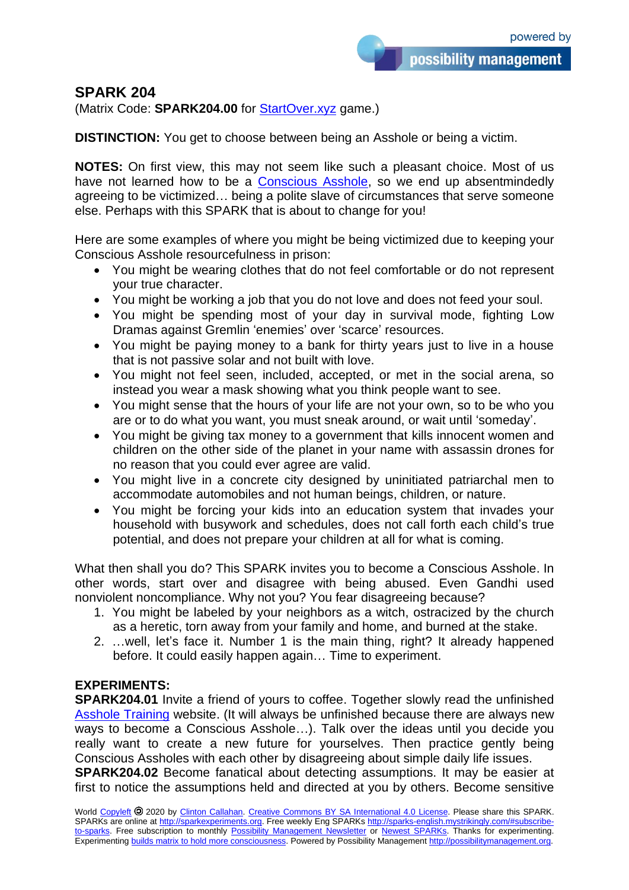possibility management

**SPARK 204**

(Matrix Code: **SPARK204.00** for [StartOver.xyz](http://startoverxyz.mystrikingly.com/) game.)

**DISTINCTION:** You get to choose between being an Asshole or being a victim.

**NOTES:** On first view, this may not seem like such a pleasant choice. Most of us have not learned how to be a [Conscious Asshole,](http://assholetraining.mystrikingly.com/) so we end up absentmindedly agreeing to be victimized… being a polite slave of circumstances that serve someone else. Perhaps with this SPARK that is about to change for you!

Here are some examples of where you might be being victimized due to keeping your Conscious Asshole resourcefulness in prison:

- You might be wearing clothes that do not feel comfortable or do not represent your true character.
- You might be working a job that you do not love and does not feed your soul.
- You might be spending most of your day in survival mode, fighting Low Dramas against Gremlin 'enemies' over 'scarce' resources.
- You might be paying money to a bank for thirty years just to live in a house that is not passive solar and not built with love.
- You might not feel seen, included, accepted, or met in the social arena, so instead you wear a mask showing what you think people want to see.
- You might sense that the hours of your life are not your own, so to be who you are or to do what you want, you must sneak around, or wait until 'someday'.
- You might be giving tax money to a government that kills innocent women and children on the other side of the planet in your name with assassin drones for no reason that you could ever agree are valid.
- You might live in a concrete city designed by uninitiated patriarchal men to accommodate automobiles and not human beings, children, or nature.
- You might be forcing your kids into an education system that invades your household with busywork and schedules, does not call forth each child's true potential, and does not prepare your children at all for what is coming.

What then shall you do? This SPARK invites you to become a Conscious Asshole. In other words, start over and disagree with being abused. Even Gandhi used nonviolent noncompliance. Why not you? You fear disagreeing because?

- 1. You might be labeled by your neighbors as a witch, ostracized by the church as a heretic, torn away from your family and home, and burned at the stake.
- 2. …well, let's face it. Number 1 is the main thing, right? It already happened before. It could easily happen again… Time to experiment.

## **EXPERIMENTS:**

**SPARK204.01** Invite a friend of yours to coffee. Together slowly read the unfinished [Asshole Training](http://assholetraining.mystrikingly.com/) website. (It will always be unfinished because there are always new ways to become a Conscious Asshole…). Talk over the ideas until you decide you really want to create a new future for yourselves. Then practice gently being Conscious Assholes with each other by disagreeing about simple daily life issues. **SPARK204.02** Become fanatical about detecting assumptions. It may be easier at first to notice the assumptions held and directed at you by others. Become sensitive